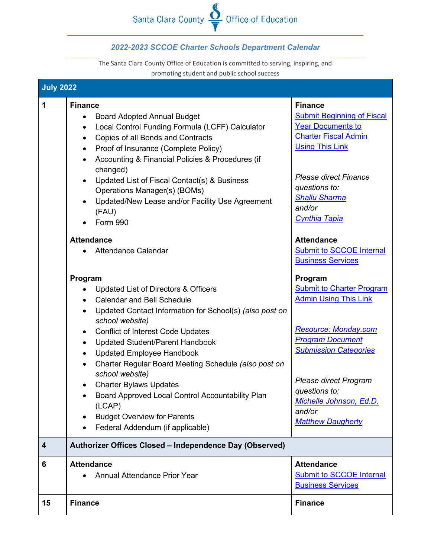## Santa Clara County  $\frac{8}{7}$  Office of Education

## *2022-2023 SCCOE Charter Schools Department Calendar*

The Santa Clara County Office of Education is committed to serving, inspiring, and promoting student and public school success

|                  | promoting student and public scribbi success                                                                                                                                                                                                                                                                                                                                                                                                                                                                   |                                                                                                                                                                                                                                                     |
|------------------|----------------------------------------------------------------------------------------------------------------------------------------------------------------------------------------------------------------------------------------------------------------------------------------------------------------------------------------------------------------------------------------------------------------------------------------------------------------------------------------------------------------|-----------------------------------------------------------------------------------------------------------------------------------------------------------------------------------------------------------------------------------------------------|
| <b>July 2022</b> |                                                                                                                                                                                                                                                                                                                                                                                                                                                                                                                |                                                                                                                                                                                                                                                     |
| $\mathbf 1$      | <b>Finance</b><br><b>Board Adopted Annual Budget</b><br>$\bullet$<br>Local Control Funding Formula (LCFF) Calculator<br>$\bullet$<br>Copies of all Bonds and Contracts<br>$\bullet$<br>Proof of Insurance (Complete Policy)<br>$\bullet$<br>Accounting & Financial Policies & Procedures (if<br>$\bullet$<br>changed)<br>Updated List of Fiscal Contact(s) & Business<br>$\bullet$<br>Operations Manager(s) (BOMs)<br>Updated/New Lease and/or Facility Use Agreement<br>$\bullet$<br>(FAU)<br><b>Form 990</b> | <b>Finance</b><br><b>Submit Beginning of Fiscal</b><br><b>Year Documents to</b><br><b>Charter Fiscal Admin</b><br><b>Using This Link</b><br><b>Please direct Finance</b><br>questions to:<br><b>Shallu Sharma</b><br>and/or<br><b>Cynthia Tapia</b> |
|                  | <b>Attendance</b><br><b>Attendance Calendar</b>                                                                                                                                                                                                                                                                                                                                                                                                                                                                | <b>Attendance</b><br>Submit to SCCOE Internal<br><b>Business Services</b>                                                                                                                                                                           |
|                  | Program<br>Updated List of Directors & Officers<br><b>Calendar and Bell Schedule</b><br>$\bullet$<br>Updated Contact Information for School(s) (also post on<br>$\bullet$<br>school website)                                                                                                                                                                                                                                                                                                                   | Program<br><b>Submit to Charter Program</b><br><b>Admin Using This Link</b>                                                                                                                                                                         |
|                  | <b>Conflict of Interest Code Updates</b><br>$\bullet$<br><b>Updated Student/Parent Handbook</b><br>$\bullet$<br><b>Updated Employee Handbook</b><br>$\bullet$<br>Charter Regular Board Meeting Schedule (also post on<br>$\bullet$                                                                                                                                                                                                                                                                             | <b>Resource: Monday.com</b><br><b>Program Document</b><br><b>Submission Categories</b>                                                                                                                                                              |
|                  | school website)<br><b>Charter Bylaws Updates</b><br>$\bullet$<br>Board Approved Local Control Accountability Plan<br>(LCAP)<br><b>Budget Overview for Parents</b><br>Federal Addendum (if applicable)<br>$\bullet$                                                                                                                                                                                                                                                                                             | Please direct Program<br>questions to:<br>Michelle Johnson, Ed.D.<br>and/or<br><b>Matthew Daugherty</b>                                                                                                                                             |
| 4                | Authorizer Offices Closed - Independence Day (Observed)                                                                                                                                                                                                                                                                                                                                                                                                                                                        |                                                                                                                                                                                                                                                     |
| 6                | <b>Attendance</b><br><b>Annual Attendance Prior Year</b>                                                                                                                                                                                                                                                                                                                                                                                                                                                       | <b>Attendance</b><br><b>Submit to SCCOE Internal</b><br><b>Business Services</b>                                                                                                                                                                    |
| 15               | <b>Finance</b>                                                                                                                                                                                                                                                                                                                                                                                                                                                                                                 | <b>Finance</b>                                                                                                                                                                                                                                      |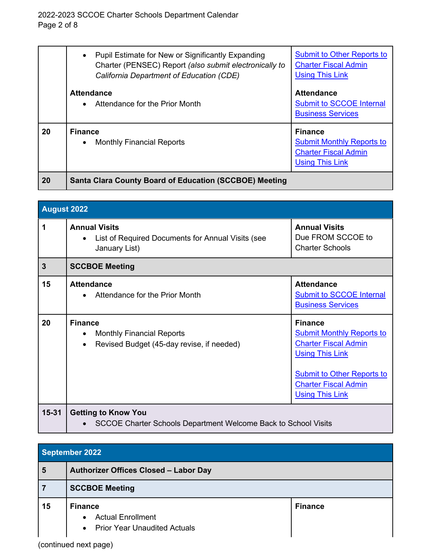|           | Pupil Estimate for New or Significantly Expanding<br>$\bullet$<br>Charter (PENSEC) Report (also submit electronically to<br>California Department of Education (CDE) | <b>Submit to Other Reports to</b><br><b>Charter Fiscal Admin</b><br><b>Using This Link</b>                  |
|-----------|----------------------------------------------------------------------------------------------------------------------------------------------------------------------|-------------------------------------------------------------------------------------------------------------|
|           | <b>Attendance</b><br>Attendance for the Prior Month                                                                                                                  | <b>Attendance</b><br><b>Submit to SCCOE Internal</b><br><b>Business Services</b>                            |
| 20        | <b>Finance</b><br><b>Monthly Financial Reports</b><br>$\bullet$                                                                                                      | <b>Finance</b><br><b>Submit Monthly Reports to</b><br><b>Charter Fiscal Admin</b><br><b>Using This Link</b> |
| <b>20</b> | <b>Santa Clara County Board of Education (SCCBOE) Meeting</b>                                                                                                        |                                                                                                             |

| <b>August 2022</b> |                                                                                                              |                                                                                                                                                                                                           |
|--------------------|--------------------------------------------------------------------------------------------------------------|-----------------------------------------------------------------------------------------------------------------------------------------------------------------------------------------------------------|
| 1                  | <b>Annual Visits</b><br>List of Required Documents for Annual Visits (see<br>$\bullet$<br>January List)      | <b>Annual Visits</b><br>Due FROM SCCOE to<br><b>Charter Schools</b>                                                                                                                                       |
| $\mathbf{3}$       | <b>SCCBOE Meeting</b>                                                                                        |                                                                                                                                                                                                           |
| 15                 | <b>Attendance</b><br>Attendance for the Prior Month                                                          | <b>Attendance</b><br><b>Submit to SCCOE Internal</b><br><b>Business Services</b>                                                                                                                          |
| 20                 | <b>Finance</b><br><b>Monthly Financial Reports</b><br>Revised Budget (45-day revise, if needed)<br>$\bullet$ | <b>Finance</b><br><b>Submit Monthly Reports to</b><br><b>Charter Fiscal Admin</b><br><b>Using This Link</b><br><b>Submit to Other Reports to</b><br><b>Charter Fiscal Admin</b><br><b>Using This Link</b> |
| $15 - 31$          | <b>Getting to Know You</b><br>SCCOE Charter Schools Department Welcome Back to School Visits                 |                                                                                                                                                                                                           |

| September 2022 |                                                                                                             |                |
|----------------|-------------------------------------------------------------------------------------------------------------|----------------|
| 5              | Authorizer Offices Closed - Labor Day                                                                       |                |
| $\overline{7}$ | <b>SCCBOE Meeting</b>                                                                                       |                |
| 15             | <b>Finance</b><br><b>Actual Enrollment</b><br>$\bullet$<br><b>Prior Year Unaudited Actuals</b><br>$\bullet$ | <b>Finance</b> |

(continued next page)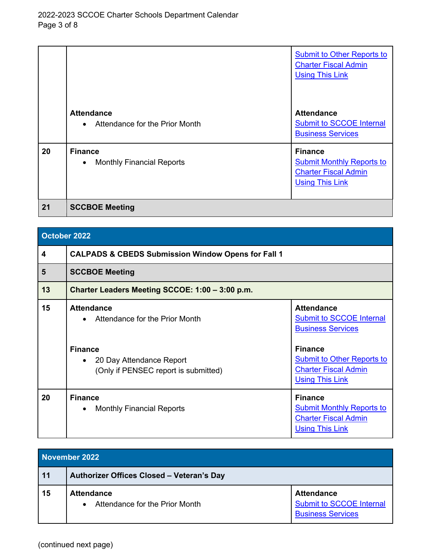|    |                                                                  | <b>Submit to Other Reports to</b><br><b>Charter Fiscal Admin</b><br><b>Using This Link</b>                  |
|----|------------------------------------------------------------------|-------------------------------------------------------------------------------------------------------------|
|    | <b>Attendance</b><br>Attendance for the Prior Month<br>$\bullet$ | <b>Attendance</b><br><b>Submit to SCCOE Internal</b><br><b>Business Services</b>                            |
| 20 | <b>Finance</b><br><b>Monthly Financial Reports</b><br>$\bullet$  | <b>Finance</b><br><b>Submit Monthly Reports to</b><br><b>Charter Fiscal Admin</b><br><b>Using This Link</b> |
| 21 | <b>SCCBOE Meeting</b>                                            |                                                                                                             |

| October 2022 |                                                                                                                                           |                                                                                                                                                                                                  |
|--------------|-------------------------------------------------------------------------------------------------------------------------------------------|--------------------------------------------------------------------------------------------------------------------------------------------------------------------------------------------------|
| 4            | <b>CALPADS &amp; CBEDS Submission Window Opens for Fall 1</b>                                                                             |                                                                                                                                                                                                  |
| 5            | <b>SCCBOE Meeting</b>                                                                                                                     |                                                                                                                                                                                                  |
| 13           | Charter Leaders Meeting SCCOE: 1:00 - 3:00 p.m.                                                                                           |                                                                                                                                                                                                  |
| 15           | <b>Attendance</b><br>Attendance for the Prior Month<br><b>Finance</b><br>20 Day Attendance Report<br>(Only if PENSEC report is submitted) | <b>Attendance</b><br><b>Submit to SCCOE Internal</b><br><b>Business Services</b><br><b>Finance</b><br><b>Submit to Other Reports to</b><br><b>Charter Fiscal Admin</b><br><b>Using This Link</b> |
| 20           | <b>Finance</b><br><b>Monthly Financial Reports</b><br>$\bullet$                                                                           | <b>Finance</b><br><b>Submit Monthly Reports to</b><br><b>Charter Fiscal Admin</b><br><b>Using This Link</b>                                                                                      |

| November 2022 |                                                                  |                                                                                  |
|---------------|------------------------------------------------------------------|----------------------------------------------------------------------------------|
| 11            | Authorizer Offices Closed - Veteran's Day                        |                                                                                  |
| 15            | <b>Attendance</b><br>Attendance for the Prior Month<br>$\bullet$ | <b>Attendance</b><br><b>Submit to SCCOE Internal</b><br><b>Business Services</b> |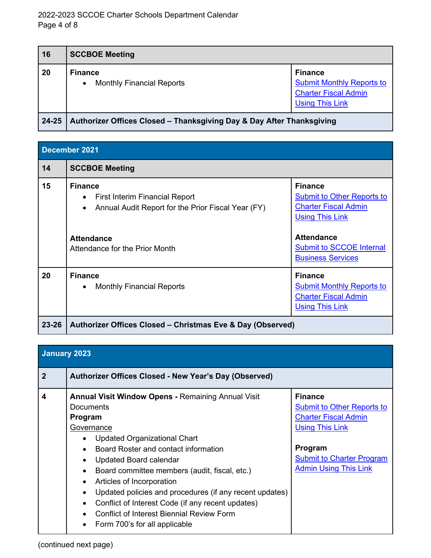| 16    | <b>SCCBOE Meeting</b>                                                 |                                                                                                             |
|-------|-----------------------------------------------------------------------|-------------------------------------------------------------------------------------------------------------|
| 20    | <b>Finance</b><br><b>Monthly Financial Reports</b><br>$\bullet$       | <b>Finance</b><br><b>Submit Monthly Reports to</b><br><b>Charter Fiscal Admin</b><br><b>Using This Link</b> |
| 24-25 | Authorizer Offices Closed - Thanksgiving Day & Day After Thanksgiving |                                                                                                             |

| December 2021 |                                                                                                                                                                                                |                                                                                                                                                                                                  |
|---------------|------------------------------------------------------------------------------------------------------------------------------------------------------------------------------------------------|--------------------------------------------------------------------------------------------------------------------------------------------------------------------------------------------------|
| 14            | <b>SCCBOE Meeting</b>                                                                                                                                                                          |                                                                                                                                                                                                  |
| 15            | <b>Finance</b><br><b>First Interim Financial Report</b><br>$\bullet$<br>Annual Audit Report for the Prior Fiscal Year (FY)<br>$\bullet$<br><b>Attendance</b><br>Attendance for the Prior Month | <b>Finance</b><br><b>Submit to Other Reports to</b><br><b>Charter Fiscal Admin</b><br><b>Using This Link</b><br><b>Attendance</b><br><b>Submit to SCCOE Internal</b><br><b>Business Services</b> |
| 20            | <b>Finance</b><br><b>Monthly Financial Reports</b><br>$\bullet$                                                                                                                                | <b>Finance</b><br><b>Submit Monthly Reports to</b><br><b>Charter Fiscal Admin</b><br><b>Using This Link</b>                                                                                      |
| 23-26         | Authorizer Offices Closed – Christmas Eve & Day (Observed)                                                                                                                                     |                                                                                                                                                                                                  |

| January 2023 |                                                                                                                                                                                                                                                                                                                                                                                                                                                                                                                                      |                                                                                                                                                                                             |
|--------------|--------------------------------------------------------------------------------------------------------------------------------------------------------------------------------------------------------------------------------------------------------------------------------------------------------------------------------------------------------------------------------------------------------------------------------------------------------------------------------------------------------------------------------------|---------------------------------------------------------------------------------------------------------------------------------------------------------------------------------------------|
| $\mathbf{2}$ | Authorizer Offices Closed - New Year's Day (Observed)                                                                                                                                                                                                                                                                                                                                                                                                                                                                                |                                                                                                                                                                                             |
| 4            | <b>Annual Visit Window Opens - Remaining Annual Visit</b><br>Documents<br>Program<br>Governance<br><b>Updated Organizational Chart</b><br>٠<br>Board Roster and contact information<br>Updated Board calendar<br>٠<br>Board committee members (audit, fiscal, etc.)<br>Articles of Incorporation<br>٠<br>Updated policies and procedures (if any recent updates)<br>$\bullet$<br>Conflict of Interest Code (if any recent updates)<br>$\bullet$<br><b>Conflict of Interest Biennial Review Form</b><br>Form 700's for all applicable | <b>Finance</b><br><b>Submit to Other Reports to</b><br><b>Charter Fiscal Admin</b><br><b>Using This Link</b><br>Program<br><b>Submit to Charter Program</b><br><b>Admin Using This Link</b> |

(continued next page)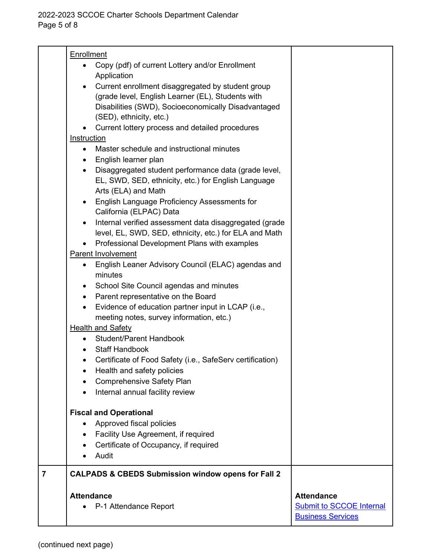|                | <b>Attendance</b><br>P-1 Attendance Report                                                                          | <b>Attendance</b><br><b>Submit to SCCOE Internal</b><br><b>Business Services</b> |
|----------------|---------------------------------------------------------------------------------------------------------------------|----------------------------------------------------------------------------------|
| $\overline{7}$ | <b>CALPADS &amp; CBEDS Submission window opens for Fall 2</b>                                                       |                                                                                  |
|                | Audit                                                                                                               |                                                                                  |
|                | Facility Use Agreement, if required<br>٠<br>Certificate of Occupancy, if required                                   |                                                                                  |
|                | Approved fiscal policies                                                                                            |                                                                                  |
|                | <b>Fiscal and Operational</b>                                                                                       |                                                                                  |
|                |                                                                                                                     |                                                                                  |
|                | Internal annual facility review                                                                                     |                                                                                  |
|                | <b>Comprehensive Safety Plan</b>                                                                                    |                                                                                  |
|                | Health and safety policies                                                                                          |                                                                                  |
|                | Certificate of Food Safety (i.e., SafeServ certification)                                                           |                                                                                  |
|                | <b>Student/Parent Handbook</b><br><b>Staff Handbook</b>                                                             |                                                                                  |
|                | <b>Health and Safety</b>                                                                                            |                                                                                  |
|                | meeting notes, survey information, etc.)                                                                            |                                                                                  |
|                | Evidence of education partner input in LCAP (i.e.,<br>٠                                                             |                                                                                  |
|                | Parent representative on the Board<br>$\bullet$                                                                     |                                                                                  |
|                | School Site Council agendas and minutes<br>٠                                                                        |                                                                                  |
|                | minutes                                                                                                             |                                                                                  |
|                | English Leaner Advisory Council (ELAC) agendas and<br>$\bullet$                                                     |                                                                                  |
|                | Parent Involvement                                                                                                  |                                                                                  |
|                | level, EL, SWD, SED, ethnicity, etc.) for ELA and Math<br>Professional Development Plans with examples<br>$\bullet$ |                                                                                  |
|                | Internal verified assessment data disaggregated (grade<br>$\bullet$                                                 |                                                                                  |
|                | California (ELPAC) Data                                                                                             |                                                                                  |
|                | English Language Proficiency Assessments for<br>$\bullet$                                                           |                                                                                  |
|                | Arts (ELA) and Math                                                                                                 |                                                                                  |
|                | EL, SWD, SED, ethnicity, etc.) for English Language                                                                 |                                                                                  |
|                | Disaggregated student performance data (grade level,<br>$\bullet$                                                   |                                                                                  |
|                | English learner plan<br>$\bullet$                                                                                   |                                                                                  |
|                | Instruction<br>Master schedule and instructional minutes                                                            |                                                                                  |
|                | Current lottery process and detailed procedures                                                                     |                                                                                  |
|                | (SED), ethnicity, etc.)                                                                                             |                                                                                  |
|                | Disabilities (SWD), Socioeconomically Disadvantaged                                                                 |                                                                                  |
|                | (grade level, English Learner (EL), Students with                                                                   |                                                                                  |
|                | Current enrollment disaggregated by student group                                                                   |                                                                                  |
|                | Copy (pdf) of current Lottery and/or Enrollment<br>Application                                                      |                                                                                  |
|                | Enrollment                                                                                                          |                                                                                  |
|                |                                                                                                                     |                                                                                  |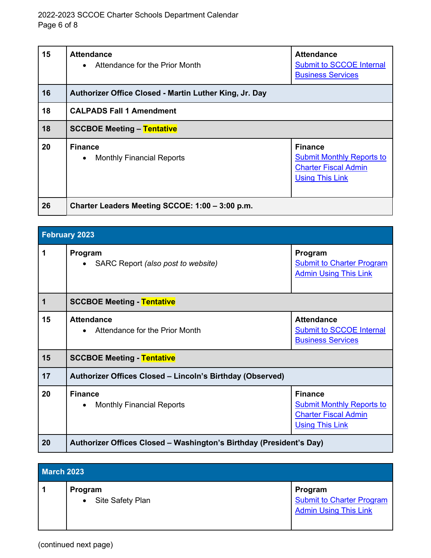| 15 | <b>Attendance</b><br>• Attendance for the Prior Month  | <b>Attendance</b><br><b>Submit to SCCOE Internal</b><br><b>Business Services</b>                            |
|----|--------------------------------------------------------|-------------------------------------------------------------------------------------------------------------|
| 16 | Authorizer Office Closed - Martin Luther King, Jr. Day |                                                                                                             |
| 18 | <b>CALPADS Fall 1 Amendment</b>                        |                                                                                                             |
| 18 | <b>SCCBOE Meeting - Tentative</b>                      |                                                                                                             |
| 20 | <b>Finance</b><br>• Monthly Financial Reports          | <b>Finance</b><br><b>Submit Monthly Reports to</b><br><b>Charter Fiscal Admin</b><br><b>Using This Link</b> |
| 26 | Charter Leaders Meeting SCCOE: 1:00 - 3:00 p.m.        |                                                                                                             |

| <b>February 2023</b> |                                                                     |                                                                                                             |
|----------------------|---------------------------------------------------------------------|-------------------------------------------------------------------------------------------------------------|
| 1                    | Program<br>• SARC Report (also post to website)                     | Program<br><b>Submit to Charter Program</b><br><b>Admin Using This Link</b>                                 |
| $\mathbf 1$          | <b>SCCBOE Meeting - Tentative</b>                                   |                                                                                                             |
| 15                   | <b>Attendance</b><br>Attendance for the Prior Month<br>$\bullet$    | <b>Attendance</b><br><b>Submit to SCCOE Internal</b><br><b>Business Services</b>                            |
| 15                   | <b>SCCBOE Meeting - Tentative</b>                                   |                                                                                                             |
| 17                   | Authorizer Offices Closed - Lincoln's Birthday (Observed)           |                                                                                                             |
| 20                   | <b>Finance</b><br><b>Monthly Financial Reports</b><br>$\bullet$     | <b>Finance</b><br><b>Submit Monthly Reports to</b><br><b>Charter Fiscal Admin</b><br><b>Using This Link</b> |
| 20                   | Authorizer Offices Closed - Washington's Birthday (President's Day) |                                                                                                             |

| <b>March 2023</b> |                               |                                                                             |
|-------------------|-------------------------------|-----------------------------------------------------------------------------|
| 1                 | Program<br>• Site Safety Plan | Program<br><b>Submit to Charter Program</b><br><b>Admin Using This Link</b> |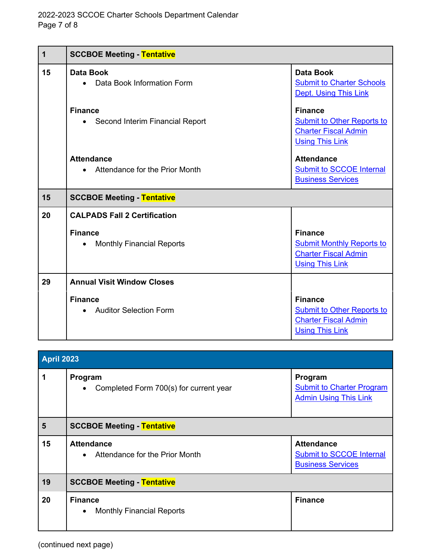| $\mathbf 1$ | <b>SCCBOE Meeting - Tentative</b>                               |                                                                                                              |
|-------------|-----------------------------------------------------------------|--------------------------------------------------------------------------------------------------------------|
| 15          | <b>Data Book</b><br>Data Book Information Form                  | <b>Data Book</b><br><b>Submit to Charter Schools</b><br>Dept. Using This Link                                |
|             | <b>Finance</b><br>• Second Interim Financial Report             | <b>Finance</b><br><b>Submit to Other Reports to</b><br><b>Charter Fiscal Admin</b><br><b>Using This Link</b> |
|             | <b>Attendance</b><br>• Attendance for the Prior Month           | <b>Attendance</b><br><b>Submit to SCCOE Internal</b><br><b>Business Services</b>                             |
| 15          | <b>SCCBOE Meeting - Tentative</b>                               |                                                                                                              |
| 20          | <b>CALPADS Fall 2 Certification</b>                             |                                                                                                              |
|             | <b>Finance</b><br><b>Monthly Financial Reports</b><br>$\bullet$ | <b>Finance</b><br><b>Submit Monthly Reports to</b><br><b>Charter Fiscal Admin</b><br><b>Using This Link</b>  |
| 29          | <b>Annual Visit Window Closes</b>                               |                                                                                                              |
|             | <b>Finance</b><br><b>Auditor Selection Form</b>                 | <b>Finance</b><br><b>Submit to Other Reports to</b><br><b>Charter Fiscal Admin</b><br><b>Using This Link</b> |

| <b>April 2023</b> |                                                                 |                                                                                  |
|-------------------|-----------------------------------------------------------------|----------------------------------------------------------------------------------|
| 1                 | Program<br>Completed Form 700(s) for current year<br>$\bullet$  | Program<br><b>Submit to Charter Program</b><br><b>Admin Using This Link</b>      |
| 5                 | <b>SCCBOE Meeting - Tentative</b>                               |                                                                                  |
| 15                | <b>Attendance</b><br>• Attendance for the Prior Month           | <b>Attendance</b><br><b>Submit to SCCOE Internal</b><br><b>Business Services</b> |
| 19                | <b>SCCBOE Meeting - Tentative</b>                               |                                                                                  |
| 20                | <b>Finance</b><br><b>Monthly Financial Reports</b><br>$\bullet$ | <b>Finance</b>                                                                   |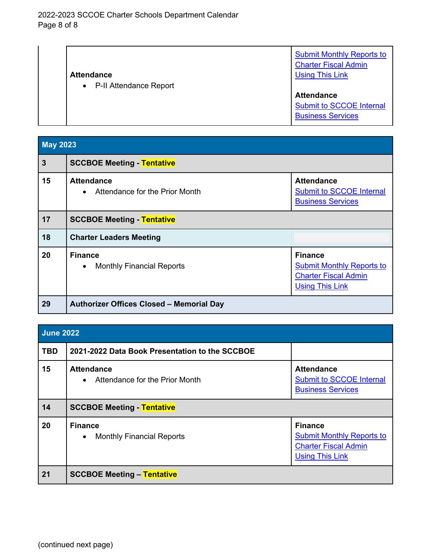|                                     | <b>Submit Monthly Reports to</b><br><b>Charter Fiscal Admin</b> |
|-------------------------------------|-----------------------------------------------------------------|
| <b>Attendance</b>                   | <b>Using This Link</b>                                          |
| P-II Attendance Report<br>$\bullet$ |                                                                 |
|                                     | <b>Attendance</b>                                               |
|                                     | <b>Submit to SCCOE Internal</b>                                 |
|                                     | <b>Business Services</b>                                        |

| <b>May 2023</b> |                                                                 |                                                                                                             |
|-----------------|-----------------------------------------------------------------|-------------------------------------------------------------------------------------------------------------|
| $\mathbf{3}$    | <b>SCCBOE Meeting - Tentative</b>                               |                                                                                                             |
| 15              | <b>Attendance</b><br>• Attendance for the Prior Month           | <b>Attendance</b><br><b>Submit to SCCOE Internal</b><br><b>Business Services</b>                            |
| 17              | <b>SCCBOE Meeting - Tentative</b>                               |                                                                                                             |
| 18              | <b>Charter Leaders Meeting</b>                                  |                                                                                                             |
| 20              | <b>Finance</b><br><b>Monthly Financial Reports</b><br>$\bullet$ | <b>Finance</b><br><b>Submit Monthly Reports to</b><br><b>Charter Fiscal Admin</b><br><b>Using This Link</b> |
| 29              | <b>Authorizer Offices Closed - Memorial Day</b>                 |                                                                                                             |

| <b>June 2022</b> |                                                                  |                                                                                                             |
|------------------|------------------------------------------------------------------|-------------------------------------------------------------------------------------------------------------|
| <b>TBD</b>       | 2021-2022 Data Book Presentation to the SCCBOE                   |                                                                                                             |
| 15               | <b>Attendance</b><br>Attendance for the Prior Month<br>$\bullet$ | <b>Attendance</b><br><b>Submit to SCCOE Internal</b><br><b>Business Services</b>                            |
| 14               | <b>SCCBOE Meeting - Tentative</b>                                |                                                                                                             |
| 20               | <b>Finance</b><br><b>Monthly Financial Reports</b><br>$\bullet$  | <b>Finance</b><br><b>Submit Monthly Reports to</b><br><b>Charter Fiscal Admin</b><br><b>Using This Link</b> |
| 21               | <b>SCCBOE Meeting - Tentative</b>                                |                                                                                                             |